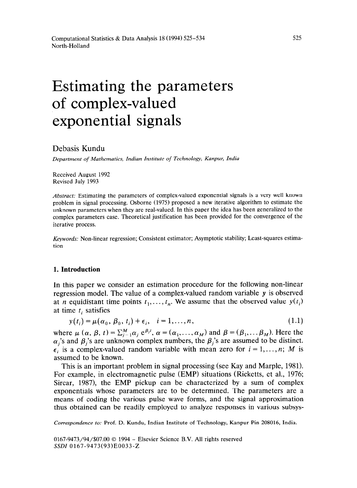# Estimating the parameters of complex-valued exponential signals

# Debasis Kundu

*Department of Mathematics, Indian Institute of Technology, Kanpur, India* 

Received August 1992 Revised July 1993

*Abstract:* Estimating the parameters of complex-valued exponential signals is a very well known problem in signal processing. Osborne (1975) proposed a new iterative algorithm to estimate the unknown parameters when they are real-valued. In this paper the idea has been generalized to the complex parameters case. Theoretical justification has been provided for the convergence of the iterative process.

*Keywords:* Non-linear regression; Consistent estimator; Asymptotic stability; Least-squares estimation

#### **1. Introduction**

In this paper we consider an estimation procedure for the following non-linear regression model. The value of a complex-valued random variable y is observed at *n* equidistant time points  $t_1, \ldots, t_n$ . We assume that the observed value  $y(t_i)$ at time  $t_i$  satisfies

$$
y(t_i) = \mu(\alpha_0, \beta_0, t_i) + \epsilon_i, \quad i = 1, \dots, n,
$$
\n
$$
(1.1)
$$

where  $\mu$  ( $\alpha$ ,  $\beta$ ,  $t$ ) =  $\sum_{i=1}^{M} \alpha_i e^{i\beta}$ ,  $\alpha$  = ( $\alpha_1, \ldots, \alpha_M$ ) and  $\beta$  = ( $\beta_1, \ldots, \beta_M$ ). Here the  $\alpha_i$ 's and  $\beta_i$ 's are unknown complex numbers, the  $\beta_i$ 's are assumed to be distinct.  $\epsilon_i$  is a complex-valued random variable with mean zero for  $i = 1, \ldots, n$ ; M is assumed to be known.

This is an important problem in signal processing (see Kay and Marple, 1981). For example, in electromagnetic pulse (EMP) situations (Ricketts, et al., 1976; Sircar, 1987), the EMP pickup can be characterized by a sum of complex exponentials whose parameters are to be determined. The parameters are a means of coding the various pulse wave forms, and the signal approximation thus obtained can be readily employed to analyze responses in various subsys-

*Correspondence to:* Prof. D. Kundu, Indian Institute of Technology, Kanpur Pin 208016, India.

*0167-9473/94/\$07.00 0 1994 -* Elsevier Science B.V. All rights reserved *SSDZ* 0167-9473(93)E0033-Z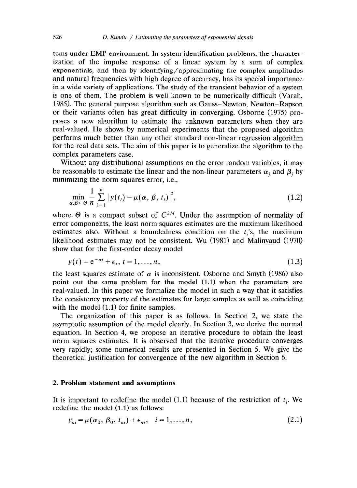terns under EMP environment. In system identification problems, the characterization of the impulse response of a linear system by a sum of complex exponentials, and then by identifying/ approximating the complex amplitudes and natural frequencies with high degree of accuracy, has its special importance in a wide variety of applications. The study of the transient behavior of a system is one of them. The problem is well known to be numerically difficult (Varah, 1985). The general purpose algorithm such as Gauss-Newton, Newton-Rapson or their variants often has great difficulty in converging. Osborne (1975) proposes a new algorithm to estimate the unknown parameters when they are real-valued. He shows by numerical experiments that the proposed algorithm performs much better than any other standard non-linear regression algorithm for the real data sets. The aim of this paper is to generalize the algorithm to the complex parameters case.

Without any distributional assumptions on the error random variables, it may be reasonable to estimate the linear and the non-linear parameters  $\alpha_j$  and  $\beta_j$  by minimizing the norm squares error, i.e.,

$$
\min_{\alpha,\beta \in \Theta} \frac{1}{n} \sum_{i=1}^{n} |y(t_i) - \mu(\alpha, \beta, t_i)|^2,
$$
\n(1.2)

where  $\Theta$  is a compact subset of  $C^{2M}$ . Under the assumption of normality of error components, the least norm squares estimates are the maximum likelihood estimates also. Without a boundedness condition on the  $t_i$ 's, the maximum likelihood estimates may not be consistent. Wu (1981) and Malinvaud (1970) show that for the first-order decay model

$$
y(t) = e^{-\alpha t} + \epsilon_t, t = 1, \dots, n,
$$
\n
$$
(1.3)
$$

the least squares estimate of  $\alpha$  is inconsistent. Osborne and Smyth (1986) also point out the same problem for the model (1.1) when the parameters are real-valued. In this paper we formalize the model in such a way that it satisfies the consistency property of the estimates for large samples as well as coinciding with the model  $(1.1)$  for finite samples.

The organization of this paper is as follows. In Section 2, we state the asymptotic assumption of the model clearly. In Section 3, we derive the normal equation. In Section 4, we propose an iterative procedure to obtain the least norm squares estimates. It is observed that the iterative procedure converges very rapidly; some numerical results are presented in Section 5. We give the theoretical justification for convergence of the new algorithm in Section 6.

#### 2. **Problem statement and assumptions**

It is important to redefine the model (1.1) because of the restriction of  $t_i$ . We redefine the model (1.1) as follows:

$$
y_{ni} = \mu(\alpha_0, \beta_0, t_{ni}) + \epsilon_{ni}, \quad i = 1, \dots, n,
$$
\n
$$
(2.1)
$$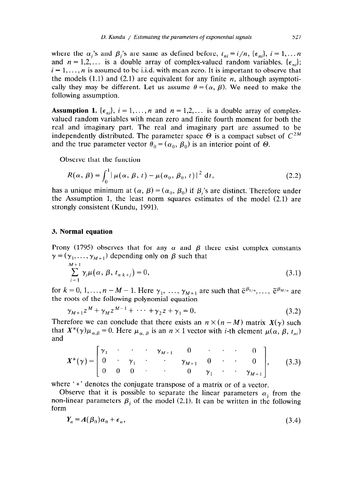where the  $\alpha_i$ 's and  $\beta_i$ 's are same as defined before,  $t_{ni} = i/n$ ,  $\{\epsilon_{ni}\}\$ ,  $i = 1,... n$ and  $n = 1,2,...$  is a double array of complex-valued random variables.  $\{\epsilon_n\}$ ;  $i=1,\ldots, n$  is assumed to be i.i.d. with mean zero. It is important to observe that the models (1.1) and (2.1) are equivalent for any finite  $n$ , although asymptotically they may be different. Let us assume  $\theta = (\alpha, \beta)$ . We need to make the following assumption.

**Assumption 1.**  $\{\epsilon_{ni}\}\$ ,  $i = 1, \ldots, n$  and  $n = 1,2, \ldots$  is a double array of complexvalued random variables with mean zero and finite fourth moment for both the real and imaginary part. The real and imaginary part are assumed to be independently distributed. The parameter space  $\Theta$  is a compact subset of  $C^{2M}$ and the true parameter vector  $\theta_0 = (\alpha_0, \beta_0)$  is an interior point of  $\Theta$ .

Observe that the function

$$
R(\alpha, \beta) = \int_0^1 |\mu(\alpha, \beta, t) - \mu(\alpha_0, \beta_0, t)|^2 dt,
$$
 (2.2)

has a unique minimum at  $(\alpha, \beta) = (\alpha_0, \beta_0)$  if  $\beta_i$ 's are distinct. Therefore under the Assumption 1, the least norm squares estimates of the model (2.1) are strongly consistent (Kundu, 1991).

### 3. **Normal equation**

Prony (1795) observes that for any  $\alpha$  and  $\beta$  there exist complex constants  $\gamma = (\gamma_1, \ldots, \gamma_{M+1})$  depending only on  $\beta$  such that

$$
\sum_{j=1}^{M+1} \gamma_j \mu(\alpha, \beta, t_{n,k+j}) = 0,
$$
\n(3.1)

for  $k=0, 1, \ldots, n-M-1$ . Here  $\gamma_1, \ldots, \gamma_{M+1}$  are such that  $\bar{e}^{\beta_{1/n}}, \ldots, \bar{e}^{\beta_{M/n}}$  are the roots of the following polynomial equation

$$
\gamma_{M+1} z^M + \gamma_M z^{M-1} + \cdots + \gamma_2 z + \gamma_1 = 0. \tag{3.2}
$$

Therefore we can conclude that there exists an  $n \times (n - M)$  matrix  $X(\gamma)$  such that  $X^*(\gamma)\mu_{\alpha,\beta} = 0$ . Here  $\mu_{\alpha,\beta}$  is an  $n \times 1$  vector with *i*-th element  $\mu(\alpha, \beta, t_{ni})$ and

$$
X^*(\gamma) = \begin{bmatrix} \gamma_1 & \cdot & \cdot & \gamma_{M+1} & 0 & \cdot & \cdot & 0 \\ 0 & \cdot & \gamma_1 & \cdot & \cdot & \gamma_{M+1} & 0 & \cdot & 0 \\ 0 & 0 & 0 & \cdot & \cdot & \cdot & \gamma_{M+1} \\ \end{bmatrix}, \quad (3.3)
$$
  
where ' \*' denotes the conjugate transpose of a matrix or of a vector.

Observe that it is possible to separate the linear parameters  $\alpha_i$  from the non-linear parameters  $\beta_i$  of the model (2.1). It can be written in the following form

$$
Y_n = A(\beta_0)\alpha_0 + \epsilon_n, \tag{3.4}
$$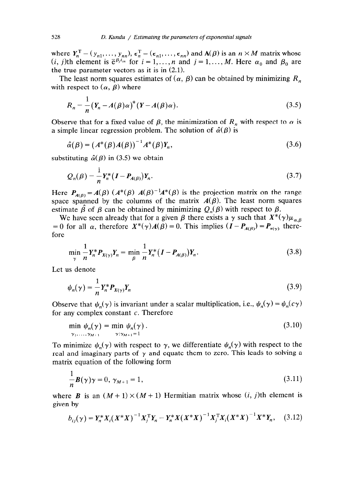where  $Y_n^{\perp} = (y_{n1}, \ldots, y_{nn}), \epsilon_n^{\perp} = (\epsilon_{n1}, \ldots, \epsilon_{nn})$  and  $A(\beta)$  is an  $n \times M$  matrix whose  $(i, j)$ th element is  $\bar{e}^{\beta_j t_{in}}$  for  $i = 1, \ldots, n$  and  $j = 1, \ldots, M$ . Here  $\alpha_0$  and  $\beta_0$  are the true parameter vectors as it is in (2.1).

The least norm squares estimates of  $(\alpha, \beta)$  can be obtained by minimizing  $R_n$ with respect to  $(\alpha, \beta)$  where

$$
R_n = \frac{1}{n} (Y_n - A(\beta)\alpha)^* (Y - A(\beta)\alpha).
$$
 (3.5)

Observe that for a fixed value of  $\beta$ , the minimization of  $R_n$  with respect to  $\alpha$  is a simple linear regression problem. The solution of  $\hat{\alpha}(\beta)$  is

$$
\hat{\alpha}(\beta) = (A^*(\beta)A(\beta))^{-1}A^*(\beta)Y_n,\tag{3.6}
$$

substituting  $\hat{\alpha}(\beta)$  in (3.5) we obtain

$$
Q_n(\beta) = \frac{1}{n} Y_n^* (I - P_{A(\beta)}) Y_n.
$$
 (3.7)

Here  $P_{A(\beta)} = A(\beta) (A^*(\beta) A(\beta)^{-1}A^*(\beta))$  is the projection matrix on the range space spanned by the columns of the matrix  $A(\beta)$ . The least norm squares estimate  $\beta$  of  $\beta$  can be obtained by minimizing  $Q_n(\beta)$  with respect to  $\beta$ .

We have seen already that for a given  $\beta$  there exists a  $\gamma$  such that  $X^*(\gamma)\mu_{\alpha,\beta}$ = 0 for all  $\alpha$ , therefore  $X^*(\gamma)A(\beta) = 0$ . This implies  $(I - P_{A(\beta)}) = P_{X(\gamma)}$  therefore

$$
\min_{\gamma} \frac{1}{n} Y_n^* P_{X(\gamma)} Y_n = \min_{\beta} \frac{1}{n} Y_n^* (I - P_{A(\beta)}) Y_n.
$$
 (3.8)

Let us denote

$$
\psi_n(\gamma) = \frac{1}{n} Y_n^* P_{X(\gamma)} Y_n \tag{3.9}
$$

Observe that  $\psi_n(\gamma)$  is invariant under a scalar multiplication, i.e.,  $\psi_n(\gamma) = \psi_n(c\gamma)$ for any complex constant  $c$ . Therefore

$$
\min_{\gamma_1,\ldots,\gamma_{M+1}} \psi_n(\gamma) = \min_{\gamma:\gamma_{M+1}=1} \psi_n(\gamma).
$$
\n(3.10)

To minimize  $\psi_n(\gamma)$  with respect to  $\gamma$ , we differentiate  $\psi_n(\gamma)$  with respect to the real and imaginary parts of  $\gamma$  and equate them to zero. This leads to solving a matrix equation of the following form

$$
\frac{1}{n}\boldsymbol{B}(\gamma)\gamma = 0, \ \gamma_{M+1} = 1,\tag{3.11}
$$

where **B** is an  $(M+1) \times (M+1)$  Hermitian matrix whose  $(i, j)$ th element is given by

$$
b_{ij}(\gamma) = Y_n^* X_i (X^* X)^{-1} X_j^T Y_n - Y_n^* X (X^* X)^{-1} X_j^T X_i (X^* X)^{-1} X^* Y_n, \quad (3.12)
$$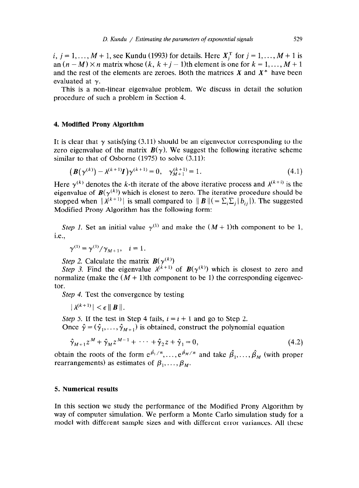*i*,  $j = 1, ..., M + 1$ , see Kundu (1993) for details. Here  $X_i^T$  for  $j = 1, ..., M + 1$  is an  $(n-M) \times n$  matrix whose  $(k, k+j-1)$ th element is one for  $k = 1, ..., M+1$ and the rest of the elements are zeroes. Both the matrices  $X$  and  $X^*$  have been evaluated at  $\gamma$ .

This is a non-linear eigenvalue problem. We discuss in detail the solution procedure of such a problem in Section 4.

#### 4. **Modified Prony Algorithm**

It is clear that  $\gamma$  satisfying (3.11) should be an eigenvector corresponding to the zero eigenvalue of the matrix  $B(\gamma)$ . We suggest the following iterative scheme similar to that of Osborne (1975) to solve  $(3.11)$ :

$$
\left(\mathbf{B}(\gamma^{(k)}) - \lambda^{(k+1)}\mathbf{I}\right)\gamma^{(k+1)} = 0, \quad \gamma_{M+1}^{(k+1)} = 1. \tag{4.1}
$$

Here  $\gamma^{(k)}$  denotes the k-th iterate of the above iterative process and  $\lambda^{(k+i)}$  is the eigenvalue of  $B(\gamma^{(k)})$  which is closest to zero. The iterative procedure should be stopped when  $|\lambda^{(k+1)}|$  is small compared to  $||\boldsymbol{B}|| (= \sum_i \sum_j |b_{ij}|)$ . The suggested Modified Prony Algorithm has the following form:

*Step 1.* Set an initial value  $\gamma^{(1)}$  and make the  $(M + 1)$ th component to be 1, i.e.,

$$
\gamma^{(1)} = \gamma^{(1)}/\gamma_{M+1}, \quad i = 1.
$$

*Step 2.* Calculate the matrix  $B(\gamma^{(k)})$ 

*Step 3.* Find the eigenvalue  $\lambda^{(k+1)}$  of  $B(\gamma^{(k)})$  which is closest to zero and normalize (make the  $(M + 1)$ th component to be 1) the corresponding eigenvector.

*Step 4.* Test the convergence by testing

 $|\lambda^{(k+1)}| < \epsilon \|B\|$ .

Step 5. If the test in Step 4 fails,  $i = i + 1$  and go to Step 2.

Once  $\hat{\gamma} = (\hat{\gamma}_1, \dots, \hat{\gamma}_{M+1})$  is obtained, construct the polynomial equation

$$
\hat{\gamma}_{M+1} z^M + \hat{\gamma}_M z^{M-1} + \cdots + \hat{\gamma}_2 z + \hat{\gamma}_1 = 0, \qquad (4.2)
$$

 $\hat{\mathbf{z}}$   $\hat{\mathbf{z}}$ obtain the roots of the form  $e^{\beta_1/n}, \ldots, e^{\beta_M/n}$  and take  $\beta_1, \ldots, \beta_M$  (with proper rearrangements) as estimates of  $\beta_1, \ldots, \beta_M$ .

#### **5. Numerical results**

In this section we study the performance of the Modified Prony Algorithm by way of computer simulation. We perform a Monte Carlo simulation study for a model with different sample sizes and with different error variances. All these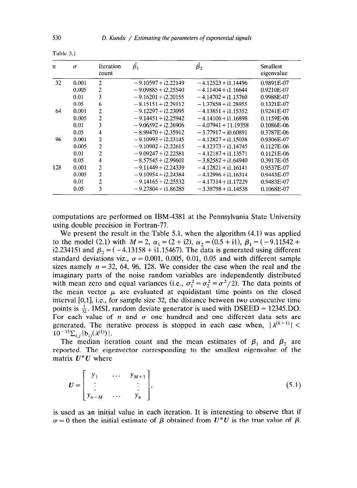| $\mathbf n$ | $\sigma$ | Iteration<br>count | $\beta_1$             | $\beta_2$             | Smallest<br>eigenvalue |
|-------------|----------|--------------------|-----------------------|-----------------------|------------------------|
| 32          | 0.001    | 2                  | $-9.10597 + i2.22149$ | $-4.12523 + i1.14496$ | 0.9891E-07             |
|             | 0.005    | 2                  | $-9.09885 + i2.25540$ | $-4.11404 + i1.16644$ | 0.9210E-07             |
|             | 0.01     | 3                  | $-9.16201 + i2.20155$ | $-4.14702 + i1.13760$ | 0.9988E-07             |
|             | 0.05     | 6                  | $-8.15151 + i2.29112$ | $-1.37858 + i1.28955$ | 0.1321E-07             |
| 64          | 0.001    | 2                  | $-9.12297 + i2.23095$ | $-4.13851 + i1.15352$ | $0.9241E-07$           |
|             | 0.005    | $\overline{2}$     | $-9.14451 + i2.25942$ | $-4.14106 + i1.16898$ | 0.1159E-06             |
|             | 0.01     | 3                  | $-9.06592 + i2.26906$ | $-4.07941 + 11.19358$ | 0.1086E-06             |
|             | 0.05     | 4                  | $-8.99470 + i2.35912$ | $-3.77917 + i0.60891$ | 0.3787E-06             |
| 96          | 0.001    | $\overline{2}$     | $-9.10993 + i2.23145$ | $-4.12827 + i1.15038$ | 0.9306E-07             |
|             | 0.005    | 2                  | $-9.10902 + i2.22615$ | $-4.12373 + i1.14745$ | 0.1127E-06             |
|             | 0.01     | 2                  | $-9.09247 + i2.22581$ | $-4.12187 + i1.13571$ | 0.1121E-06             |
|             | 0.05     | 4                  | $-8.57545 + i2.99601$ | $-3.82582 + i1.64940$ | 0.3917E-05             |
| 128         | 0.001    | $\overline{2}$     | $-9.11449 + i2.24339$ | $-4.12821 + i1.16141$ | 0.9537E 07             |
|             | 0.005    | $\overline{2}$     | $-9.10954 + i2.24384$ | $-4.12996 + i1.16314$ | 0.9443E-07             |
|             | 0.01     | 2                  | $-9.14165 + i2.25532$ | $-4.17314 + i1.17229$ | 0.9483E-07             |
|             | 0.05     | 3                  | $-9.27804 + i1.86285$ | $-3.38798 + i1.14538$ | 0.1068E-07             |

Table 5.1

computations are performed on IBM-4381 at the Pennsylvania State University using double precision in Fortran-77.

We present the result in the Table 5.1, when the algorithm (4.1) was applied to the model (2.1) with  $M = 2$ ,  $\alpha_1 = (2 + i2)$ ,  $\alpha_2 = (0.5 + i1)$ ,  $\beta_1 = (-9.11542 +$ i2.23415) and  $\beta_2 = (-4.13158 + i1.15467)$ . The data is generated using different standard deviations viz.,  $\sigma = 0.001$ , 0.005, 0.01, 0.05 and with different sample sizes namely  $n = 32, 64, 96, 128$ . We consider the case when the real and the imaginary parts of the noise random variables are independently distributed with mean zero and equal variances (i.e.,  $\sigma_1^2 = \sigma_2^2 = \sigma^2/2$ ). The data points of the mean vector  $\mu$  are evaluated at equidistant time points on the closed interval  $[0,1]$ , i.e., for sample size 32, the distance between two consecutive time points is  $\frac{1}{32}$ . IMSL random deviate generator is used with DSEED = 12345.DO. For each value of  $n$  and  $\sigma$  one hundred and one different data sets are generated. The iterative process is stopped in each case when,  $|\lambda^{(k+1)}|$  <  $10^{-15}\sum_{i,j} |b_{ij}(\lambda^{(1)})|$ .

The median iteration count and the mean estimates of  $\beta_1$  and  $\beta_2$  are reported. The eigenvector corresponding to the smallest eigenvalue of the matrix  $U^*U$  where

$$
U = \begin{bmatrix} y_1 & \cdots & y_{M+1} \\ \vdots & & \vdots \\ y_{n-M} & \cdots & y_n \end{bmatrix},
$$
 (5.1)

is used as an initial value in each iteration. It is interesting to observe that if  $\sigma = 0$  then the initial estimate of  $\beta$  obtained from  $U^*U$  is the true value of  $\beta$ .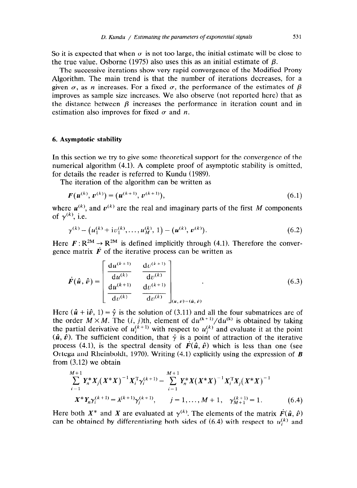So it is expected that when  $\sigma$  is not too large, the initial estimate will be close to the true value. Osborne (1975) also uses this as an initial estimate of  $\beta$ .

The successive iterations show very rapid convergence of the Modified Prony Algorithm. The main trend is that the number of iterations decreases, for a given  $\sigma$ , as *n* increases. For a fixed  $\sigma$ , the performance of the estimates of  $\beta$ improves as sample size increases. We also observe (not reported here) that as the distance between  $\beta$  increases the performance in iteration count and in estimation also improves for fixed  $\sigma$  and  $\dot{n}$ .

#### 6. **Asymptotic stability**

In this section we try to give some theoretical support for the convergence of the numerical algorithm (4.1). A complete proof of asymptotic stability is omitted, for details the reader is referred to Kundu (1989).

The iteration of the algorithm can be written as

$$
F(u^{(k)}, v^{(k)}) = (u^{(k+1)}, v^{(k+1)}),
$$
\n(6.1)

where  $u^{(k)}$ , and  $v^{(k)}$  are the real and imaginary parts of the first M components of  $\gamma^{(k)}$ , i.e.

$$
\gamma^{(k)} = (u_1^{(k)} + \mathrm{i}v_1^{(k)}, \dots, u_M^{(k)}, 1) = (u^{(k)}, v^{(k)}).
$$
\n(6.2)

Here  $F: \mathbb{R}^{2M} \to \mathbb{R}^{2M}$  is defined implicitly through (4.1). Therefore the convergence matrix  $\vec{F}$  of the iterative process can be written as

$$
\dot{F}(\hat{u},\hat{v}) = \begin{bmatrix} \frac{du^{(k+1)}}{du^{(k)}} & \frac{dv^{(k+1)}}{dv^{(k)}}\\ \frac{du^{(k+1)}}{dv^{(k)}} & \frac{dv^{(k+1)}}{dv^{(k)}} \end{bmatrix}_{(u,v)=(\hat{u},\hat{v})}
$$
(6.3)

Here  $(\hat{u} + i\hat{v}, 1) = \hat{y}$  is the solution of (3.11) and all the four submatrices are of the order  $M \times M$ . The (i, j)th, element of  $du^{(k+1)}/du^{(k)}$  is obtained by taking the partial derivative of  $u_i^{(k+1)}$  with respect to  $u_i^{(k)}$  and evaluate it at the point  $(\hat{u}, \hat{v})$ . The sufficient condition, that  $\hat{y}$  is a point of attraction of the iterative process (4.1), is the spectral density of  $\vec{F}(\hat{u}, \hat{v})$  which is less than one (see Ortega and Rheinboldt, 1970). Writing  $(4.1)$  explicitly using the expression of **B** from (3.12) we obtain

$$
\sum_{i=1}^{M+1} Y_n^* X_j (X^* X)^{-1} X_i^{\mathrm{T}} \gamma_i^{(k+1)} - \sum_{i=1}^{M+1} Y_n^* X (X^* X)^{-1} X_i^{\mathrm{T}} X_j (X^* X)^{-1}
$$
  

$$
X^* Y_n \gamma_i^{(k+1)} = \lambda^{(k+1)} \gamma_j^{(k+1)}, \qquad j = 1, ..., M+1, \quad \gamma_{M+1}^{(k+1)} = 1.
$$
 (6.4)

Here both  $X^*$  and X are evaluated at  $\gamma^{(k)}$ . The elements of the matrix  $\dot{F}(\hat{u}, \hat{v})$ can be obtained by differentiating both sides of  $(6.4)$  with respect to  $u_i^{(k)}$  and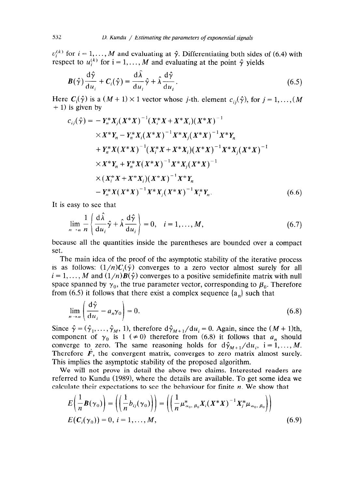$v_i^{(k)}$  for  $i = 1, \ldots, M$  and evaluating at  $\hat{\gamma}$ . Differentiating both sides of (6.4) with respect to  $u_i^{(k)}$  for  $i = 1, \ldots, M$  and evaluating at the point  $\hat{\gamma}$  yields

$$
\boldsymbol{B}(\hat{\boldsymbol{\gamma}})\frac{\mathrm{d}\hat{\boldsymbol{\gamma}}}{\mathrm{d}u_i} + \boldsymbol{C}_i(\hat{\boldsymbol{\gamma}}) = \frac{\mathrm{d}\lambda}{\mathrm{d}u_i}\hat{\boldsymbol{\gamma}} + \hat{\lambda}\frac{\mathrm{d}\hat{\boldsymbol{\gamma}}}{\mathrm{d}u_i}.
$$
\n(6.5)

Here  $C_i(\hat{\gamma})$  is a  $(M + 1) \times 1$  vector whose j-th. element  $c_{ij}(\hat{\gamma})$ , for  $j = 1, ..., (M)$  $+ 1$ ) is given by

$$
c_{ij}(\hat{\gamma}) = -Y_n^* X_j (X^* X)^{-1} (X_i^* X + X^* X_i) (X^* X)^{-1}
$$
  
\n
$$
\times X^* Y_n - Y_n^* X_i (X^* X)^{-1} X^* X_j (X^* X)^{-1} X^* Y_n
$$
  
\n
$$
+ Y_n^* X (X^* X)^{-1} (X_i^* X + X^* X_i) (X^* X)^{-1} X^* X_j (X^* X)^{-1}
$$
  
\n
$$
\times X^* Y_n + Y_n^* X (X^* X)^{-1} X^* X_j (X^* X)^{-1}
$$
  
\n
$$
\times (X_i^* X + X^* X_i) (X^* X)^{-1} X^* Y_n
$$
  
\n
$$
- Y_n^* X (X^* X)^{-1} X^* X_j (X^* X)^{-1} X_i^* Y_n.
$$
 (6.6)

It is easy to see that

$$
\lim_{n \to \alpha} \frac{1}{n} \left\{ \frac{d\hat{\lambda}}{du_i} \hat{\gamma} + \hat{\lambda} \frac{d\hat{\gamma}}{du_i} \right\} = 0, \quad i = 1, ..., M,
$$
\n(6.7)

because all the quantities inside the parentheses are bounded over a compact set.

The main idea of the proof of the asymptotic stability of the iterative process is as follows:  $(1/n)C_i(\hat{y})$  converges to a zero vector almost surely for all  $i=1, \ldots, M$  and  $(1/n)B(\hat{\gamma})$  converges to a positive semidefinite matrix with null space spanned by  $\gamma_0$ , the true parameter vector, corresponding to  $\beta_0$ . Therefore from (6.5) it follows that there exist a complex sequence  $\{a_n\}$  such that

$$
\lim_{n \to \alpha} \left( \frac{\mathrm{d}\hat{\gamma}}{\mathrm{d}u_i} - a_n \gamma_0 \right) = 0. \tag{6.8}
$$

Since  $\hat{\gamma} = (\hat{\gamma}_1, \dots, \hat{\gamma}_M, 1)$ , therefore  $\frac{d\hat{\gamma}_{M+1}}{du_i} = 0$ . Again, since the  $(M + 1)$ th, component of  $\gamma_0$  is 1 ( $\neq$  0) therefore from (6.8) it follows that  $a_n$  should converge to zero. The same reasoning holds for  $d\hat{\gamma}_{M+1}/du_i$ , i = 1,..., M. Therefore  $\vec{F}$ , the convergent matrix, converges to zero matrix almost surely. This implies the asymptotic stability of the proposed algorithm.

We will not prove in detail the above two claims. Interested readers are referred to Kundu (1989), where the details are available. To get some idea we calculate their expectations to see the behaviour for finite  $n$ . We show that

$$
E\left(\frac{1}{n}\boldsymbol{B}(\gamma_0)\right) = \left(\left(\frac{1}{n}b_{ij}(\gamma_0)\right)\right) = \left(\left(\frac{1}{n}\mu_{\alpha_0,\ \beta_0}^* \boldsymbol{X}_i (\boldsymbol{X}^* \boldsymbol{X})^{-1} \boldsymbol{X}_j^* \mu_{\alpha_0,\ \beta_0}\right)\right)
$$
  

$$
E(\boldsymbol{C}_i(\gamma_0)) = 0, \ i = 1, ..., M,
$$
 (6.9)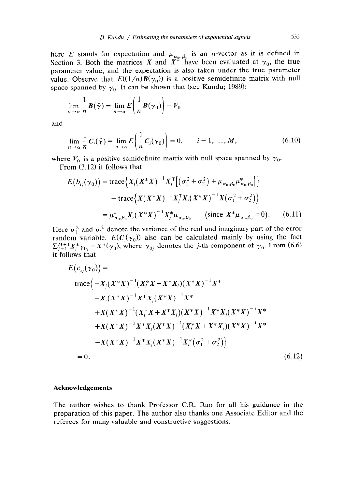here *E* stands for expectation and  $\mu_{\alpha_0,\beta_0}$  is an *n*-vector as it is defined in Section 3. Both the matrices X and  $X^*$  have been evaluated at  $\gamma_0$ , the true parameter value, and the expectation is also taken under the true parameter value. Observe that  $E((1/n)B(\gamma_0))$  is a positive semidefinite matrix with null space spanned by  $\gamma_0$ . It can be shown that (see Kundu; 1989):

$$
\lim_{n \to \alpha} \frac{1}{n} \boldsymbol{B}(\hat{\boldsymbol{\gamma}}) = \lim_{n \to \alpha} E\left(\frac{1}{n} \boldsymbol{B}(\boldsymbol{\gamma}_0)\right) = V_0
$$

and

$$
\lim_{n \to \alpha} \frac{1}{n} C_i(\hat{\gamma}) = \lim_{n \to \alpha} E\left(\frac{1}{n} C_i(\gamma_0)\right) = 0, \qquad i = 1, \dots, M,
$$
\n(6.10)

where  $V_0$  is a positive semidefinite matrix with null space spanned by  $\gamma_0$ .

From (3.12) it follows that

$$
E(b_{ij}(\gamma_0)) = \text{trace}\Big\{X_i(X^*X)^{-1}X_j^{\text{T}}[(\sigma_1^2 + \sigma_2^2) + \mu_{\alpha_0,\beta_0}\mu_{\alpha_0,\beta_0}^*]\Big\}
$$

$$
- \text{trace}\Big\{X(X^*X)^{-1}X_j^{\text{T}}X_i(X^*X)^{-1}X(\sigma_1^2 + \sigma_2^2)\Big\}
$$

$$
= \mu_{\alpha_0,\beta_0}^*X_i(X^*X)^{-1}X_j^*\mu_{\alpha_0,\beta_0} \qquad \text{(since } X^*\mu_{\alpha_0,\beta_0} = 0\text{).} \qquad (6.11)
$$

Here  $\sigma_1^2$  and  $\sigma_2^2$  denote the variance of the real and imaginary part of the error random variable.  $E(C_i(\gamma_0))$  also can be calculated mainly by using the fact  $\sum_{j=1}^{M+1} X_j^* \gamma_{0j} = X^* (\gamma_0)$ , where  $\gamma_{0j}$  denotes the *j*-th component of  $\gamma_0$ . From (6.6) it follows that

$$
E(c_{ij}(\gamma_0)) =
$$
  
\n
$$
\text{trace}\Big\{-X_j(X^*X)^{-1}(X_i^*X + X^*X_i)(X^*X)^{-1}X^* -X_i(X^*X)^{-1}X^*X_j(X^*X)^{-1}X^* +X(X^*X)^{-1}(X_i^*X + X^*X_i)(X^*X)^{-1}X^*X_j(X^*X)^{-1}X^* +X(X^*X)^{-1}X^*X_j(X^*X)^{-1}(X_i^*X + X^*X_i)(X^*X)^{-1}X^* -X(X^*X)^{-1}X^*X_j(X^*X)^{-1}X_j^*(\sigma_1^2 + \sigma_2^2)\Big\}
$$
  
\n= 0. (6.12)

#### **Acknowledgements**

The author wishes to thank Professor C.R. Rao for all his guidance in the preparation of this paper. The author also thanks one Associate Editor and the referees for many valuable and constructive suggestions.